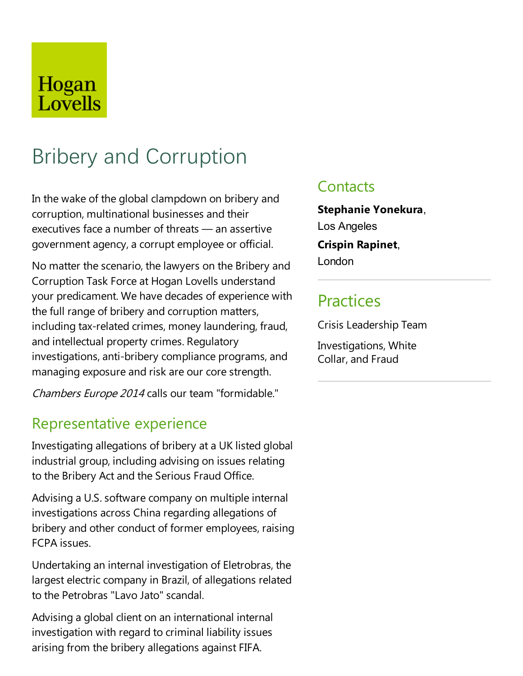# Hogan Lovells

# Bribery and Corruption

In the wake of the global clampdown on bribery and corruption, multinational businesses and their executives face a number of threats  $-$  an assertive government agency, a corrupt employee or official.

No matter the scenario, the lawyers on the Bribery and Corruption Task Force at Hogan Lovells understand your predicament. We have decades of experience with the full range of bribery and corruption matters, including tax-related crimes, money laundering, fraud, and intellectual property crimes. Regulatory investigations, anti-bribery compliance programs, and managing exposure and risk are our core strength.

Chambers Europe 2014 calls our team "formidable."

## Representative experience

Investigating allegations of bribery at a UK listed global industrial group, including advising on issues relating to the Bribery Act and the Serious Fraud Office.

Advising a U.S. software company on multiple internal investigations across China regarding allegations of bribery and other conduct of former employees, raising FCPA issues.

Undertaking an internal investigation of Eletrobras, the largest electric company in Brazil, of allegations related to the Petrobras "Lavo Jato" scandal.

Advising a global client on an international internal investigation with regard to criminal liability issues arising from the bribery allegations against FIFA.

## **Contacts**

**Stephanie Yonekura**, Los Angeles **Crispin Rapinet**, London

## **Practices**

Crisis Leadership Team

Investigations, White Collar, and Fraud